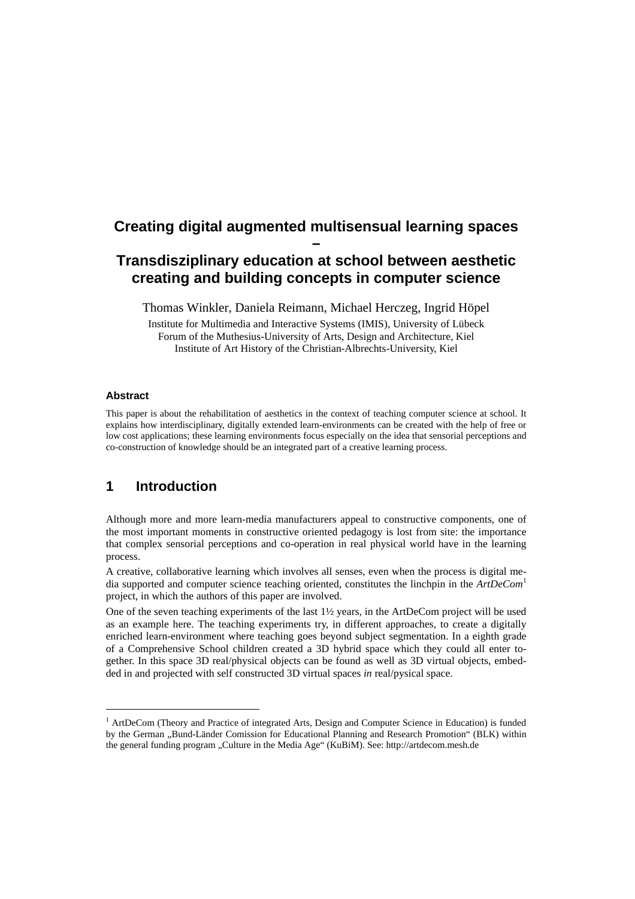# **Creating digital augmented multisensual learning spaces –**

# **Transdisziplinary education at school between aesthetic creating and building concepts in computer science**

Thomas Winkler, Daniela Reimann, Michael Herczeg, Ingrid Höpel

Institute for Multimedia and Interactive Systems (IMIS), University of Lübeck Forum of the Muthesius-University of Arts, Design and Architecture, Kiel Institute of Art History of the Christian-Albrechts-University, Kiel

#### **Abstract**

l

This paper is about the rehabilitation of aesthetics in the context of teaching computer science at school. It explains how interdisciplinary, digitally extended learn-environments can be created with the help of free or low cost applications; these learning environments focus especially on the idea that sensorial perceptions and co-construction of knowledge should be an integrated part of a creative learning process.

### **1 Introduction**

Although more and more learn-media manufacturers appeal to constructive components, one of the most important moments in constructive oriented pedagogy is lost from site: the importance that complex sensorial perceptions and co-operation in real physical world have in the learning process.

A creative, collaborative learning which involves all senses, even when the process is digital media supported and computer science teaching oriented, constitutes the linchpin in the *ArtDeCom*<sup>1</sup> project, in which the authors of this paper are involved.

One of the seven teaching experiments of the last 1½ years, in the ArtDeCom project will be used as an example here. The teaching experiments try, in different approaches, to create a digitally enriched learn-environment where teaching goes beyond subject segmentation. In a eighth grade of a Comprehensive School children created a 3D hybrid space which they could all enter together. In this space 3D real/physical objects can be found as well as 3D virtual objects, embedded in and projected with self constructed 3D virtual spaces *in* real/pysical space.

<sup>&</sup>lt;sup>1</sup> ArtDeCom (Theory and Practice of integrated Arts, Design and Computer Science in Education) is funded by the German "Bund-Länder Comission for Educational Planning and Research Promotion" (BLK) within the general funding program "Culture in the Media Age" (KuBiM). See: http://artdecom.mesh.de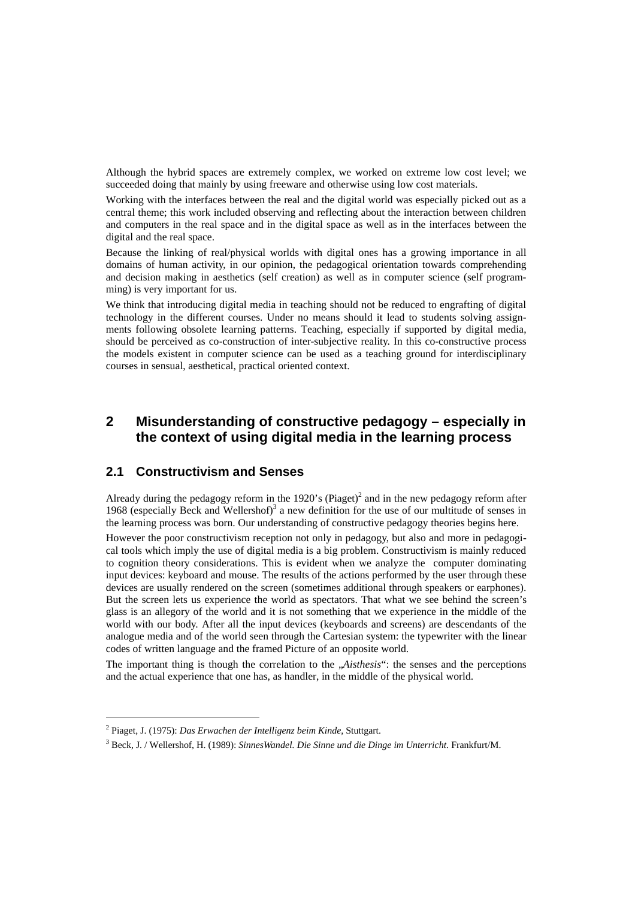Although the hybrid spaces are extremely complex, we worked on extreme low cost level; we succeeded doing that mainly by using freeware and otherwise using low cost materials.

Working with the interfaces between the real and the digital world was especially picked out as a central theme; this work included observing and reflecting about the interaction between children and computers in the real space and in the digital space as well as in the interfaces between the digital and the real space.

Because the linking of real/physical worlds with digital ones has a growing importance in all domains of human activity, in our opinion, the pedagogical orientation towards comprehending and decision making in aesthetics (self creation) as well as in computer science (self programming) is very important for us.

We think that introducing digital media in teaching should not be reduced to engrafting of digital technology in the different courses. Under no means should it lead to students solving assignments following obsolete learning patterns. Teaching, especially if supported by digital media, should be perceived as co-construction of inter-subjective reality. In this co-constructive process the models existent in computer science can be used as a teaching ground for interdisciplinary courses in sensual, aesthetical, practical oriented context.

### **2 Misunderstanding of constructive pedagogy – especially in the context of using digital media in the learning process**

#### **2.1 Constructivism and Senses**

Already during the pedagogy reform in the 1920's (Piaget)<sup>2</sup> and in the new pedagogy reform after 1968 (especially Beck and Wellershof)<sup>3</sup> a new definition for the use of our multitude of senses in the learning process was born. Our understanding of constructive pedagogy theories begins here.

However the poor constructivism reception not only in pedagogy, but also and more in pedagogical tools which imply the use of digital media is a big problem. Constructivism is mainly reduced to cognition theory considerations. This is evident when we analyze the computer dominating input devices: keyboard and mouse. The results of the actions performed by the user through these devices are usually rendered on the screen (sometimes additional through speakers or earphones). But the screen lets us experience the world as spectators. That what we see behind the screen's glass is an allegory of the world and it is not something that we experience in the middle of the world with our body. After all the input devices (keyboards and screens) are descendants of the analogue media and of the world seen through the Cartesian system: the typewriter with the linear codes of written language and the framed Picture of an opposite world.

The important thing is though the correlation to the *Aisthesis*": the senses and the perceptions and the actual experience that one has, as handler, in the middle of the physical world.

l

<sup>2</sup> Piaget, J. (1975): *Das Erwachen der Intelligenz beim Kinde*, Stuttgart.

<sup>3</sup> Beck, J. / Wellershof, H. (1989): *SinnesWandel. Die Sinne und die Dinge im Unterricht*. Frankfurt/M.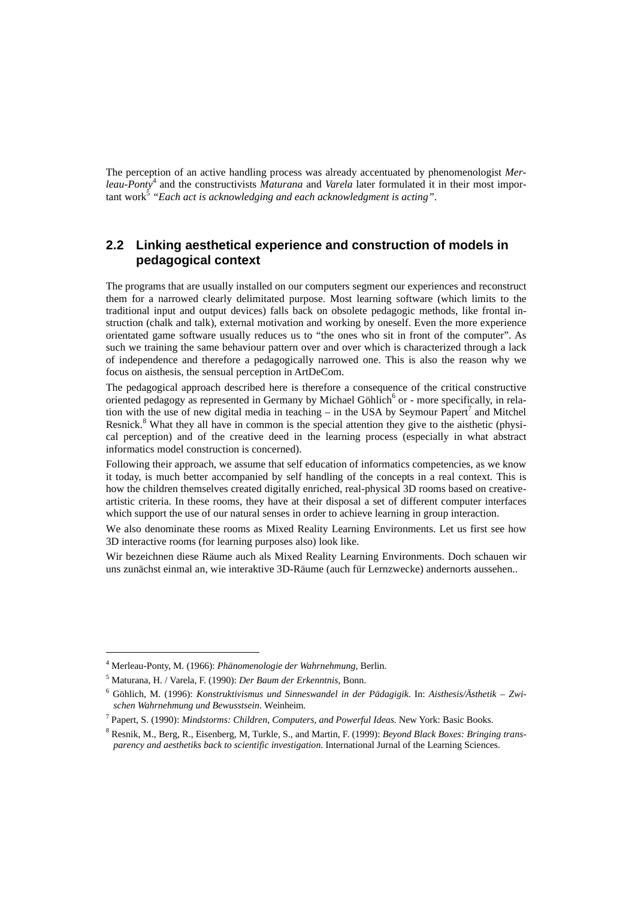The perception of an active handling process was already accentuated by phenomenologist *Merleau-Ponty*<sup>4</sup> and the constructivists *Maturana* and *Varela* later formulated it in their most important work<sup>š</sup> "Each act is acknowledging and each acknowledgment is acting".

#### **2.2 Linking aesthetical experience and construction of models in pedagogical context**

The programs that are usually installed on our computers segment our experiences and reconstruct them for a narrowed clearly delimitated purpose. Most learning software (which limits to the traditional input and output devices) falls back on obsolete pedagogic methods, like frontal instruction (chalk and talk), external motivation and working by oneself. Even the more experience orientated game software usually reduces us to "the ones who sit in front of the computer". As such we training the same behaviour pattern over and over which is characterized through a lack of independence and therefore a pedagogically narrowed one. This is also the reason why we focus on aisthesis, the sensual perception in ArtDeCom.

The pedagogical approach described here is therefore a consequence of the critical constructive oriented pedagogy as represented in Germany by Michael Göhlich<sup>6</sup> or - more specifically, in relation with the use of new digital media in teaching – in the USA by Seymour Papert<sup>7</sup> and Mitchel Resnick.<sup>8</sup> What they all have in common is the special attention they give to the aisthetic (physical perception) and of the creative deed in the learning process (especially in what abstract informatics model construction is concerned).

Following their approach, we assume that self education of informatics competencies, as we know it today, is much better accompanied by self handling of the concepts in a real context. This is how the children themselves created digitally enriched, real-physical 3D rooms based on creativeartistic criteria. In these rooms, they have at their disposal a set of different computer interfaces which support the use of our natural senses in order to achieve learning in group interaction.

We also denominate these rooms as Mixed Reality Learning Environments. Let us first see how 3D interactive rooms (for learning purposes also) look like.

Wir bezeichnen diese Räume auch als Mixed Reality Learning Environments. Doch schauen wir uns zunächst einmal an, wie interaktive 3D-Räume (auch für Lernzwecke) andernorts aussehen..

l

<sup>4</sup> Merleau-Ponty, M. (1966): *Phänomenologie der Wahrnehmung*, Berlin.

<sup>5</sup> Maturana, H. / Varela, F. (1990): *Der Baum der Erkenntnis*, Bonn.

<sup>6</sup> Göhlich, M. (1996): *Konstruktivismus und Sinneswandel in der Pädagigik*. In: *Aisthesis/Ästhetik – Zwischen Wahrnehmung und Bewusstsein*. Weinheim.

<sup>7</sup> Papert, S. (1990): *Mindstorms: Children, Computers, and Powerful Ideas.* New York: Basic Books.

<sup>8</sup> Resnik, M., Berg, R., Eisenberg, M, Turkle, S., and Martin, F. (1999): *Beyond Black Boxes: Bringing transparency and aesthetiks back to scientific investigation*. International Jurnal of the Learning Sciences.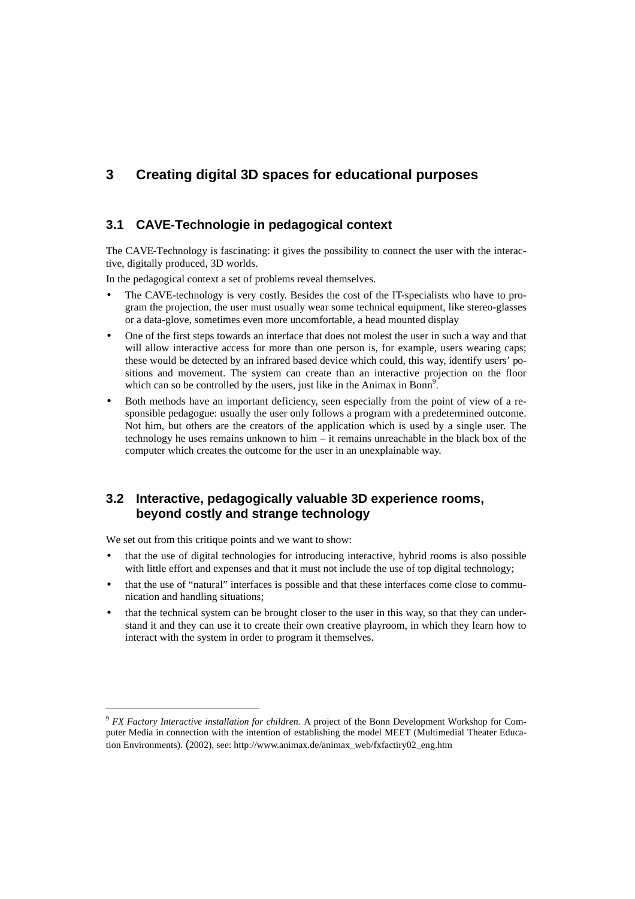### **3 Creating digital 3D spaces for educational purposes**

### **3.1 CAVE-Technologie in pedagogical context**

The CAVE-Technology is fascinating: it gives the possibility to connect the user with the interactive, digitally produced, 3D worlds.

In the pedagogical context a set of problems reveal themselves.

- The CAVE-technology is very costly. Besides the cost of the IT-specialists who have to program the projection, the user must usually wear some technical equipment, like stereo-glasses or a data-glove, sometimes even more uncomfortable, a head mounted display
- One of the first steps towards an interface that does not molest the user in such a way and that will allow interactive access for more than one person is, for example, users wearing caps; these would be detected by an infrared based device which could, this way, identify users' positions and movement. The system can create than an interactive projection on the floor which can so be controlled by the users, just like in the Animax in Bonn<sup>9</sup>.
- Both methods have an important deficiency, seen especially from the point of view of a responsible pedagogue: usually the user only follows a program with a predetermined outcome. Not him, but others are the creators of the application which is used by a single user. The technology he uses remains unknown to him – it remains unreachable in the black box of the computer which creates the outcome for the user in an unexplainable way.

### **3.2 Interactive, pedagogically valuable 3D experience rooms, beyond costly and strange technology**

We set out from this critique points and we want to show:

l

- that the use of digital technologies for introducing interactive, hybrid rooms is also possible with little effort and expenses and that it must not include the use of top digital technology;
- that the use of "natural" interfaces is possible and that these interfaces come close to communication and handling situations;
- that the technical system can be brought closer to the user in this way, so that they can understand it and they can use it to create their own creative playroom, in which they learn how to interact with the system in order to program it themselves.

<sup>9</sup> *FX Factory Interactive installation for children.* A project of the Bonn Development Workshop for Computer Media in connection with the intention of establishing the model MEET (Multimedial Theater Education Environments). (2002), see: http://www.animax.de/animax\_web/fxfactiry02\_eng.htm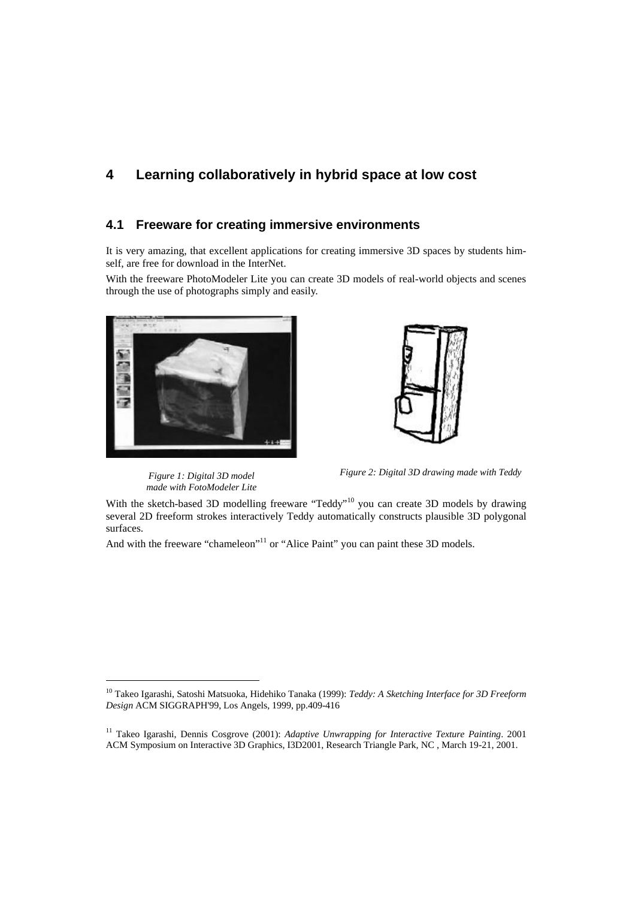### **4 Learning collaboratively in hybrid space at low cost**

#### **4.1 Freeware for creating immersive environments**

It is very amazing, that excellent applications for creating immersive 3D spaces by students himself, are free for download in the InterNet.

With the freeware PhotoModeler Lite you can create 3D models of real-world objects and scenes through the use of photographs simply and easily.





*Figure 1: Digital 3D model made with FotoModeler Lite*

l

*Figure 2: Digital 3D drawing made with Teddy* 

With the sketch-based 3D modelling freeware "Teddy"<sup>10</sup> you can create 3D models by drawing several 2D freeform strokes interactively Teddy automatically constructs plausible 3D polygonal surfaces.

And with the freeware "chameleon"<sup>11</sup> or "Alice Paint" you can paint these 3D models.

<sup>10</sup> Takeo Igarashi, Satoshi Matsuoka, Hidehiko Tanaka (1999): *Teddy: A Sketching Interface for 3D Freeform Design* ACM SIGGRAPH'99, Los Angels, 1999, pp.409-416

<sup>11</sup> Takeo Igarashi, Dennis Cosgrove (2001): *Adaptive Unwrapping for Interactive Texture Painting*. 2001 ACM Symposium on Interactive 3D Graphics, I3D2001, Research Triangle Park, NC , March 19-21, 2001.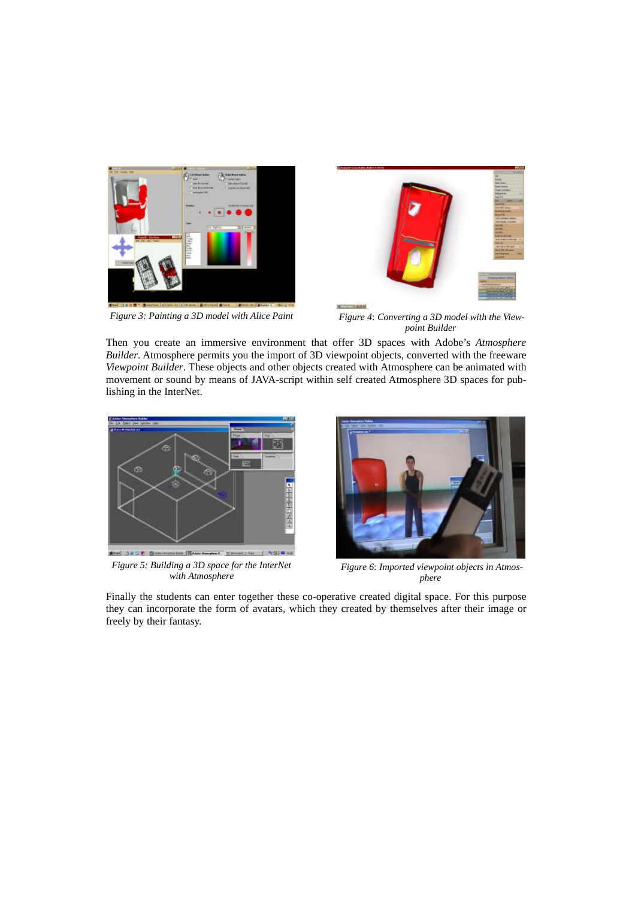



*Figure 3: Painting a 3D model with Alice Paint Figure 4*: *Converting a 3D model with the Viewpoint Builder*

Then you create an immersive environment that offer 3D spaces with Adobe's *Atmosphere Builder*. Atmosphere permits you the import of 3D viewpoint objects, converted with the freeware *Viewpoint Builder*. These objects and other objects created with Atmosphere can be animated with movement or sound by means of JAVA-script within self created Atmosphere 3D spaces for publishing in the InterNet.



*Figure 5: Building a 3D space for the InterNet with Atmosphere* 



*Figure 6*: *Imported viewpoint objects in Atmosphere*

Finally the students can enter together these co-operative created digital space. For this purpose they can incorporate the form of avatars, which they created by themselves after their image or freely by their fantasy.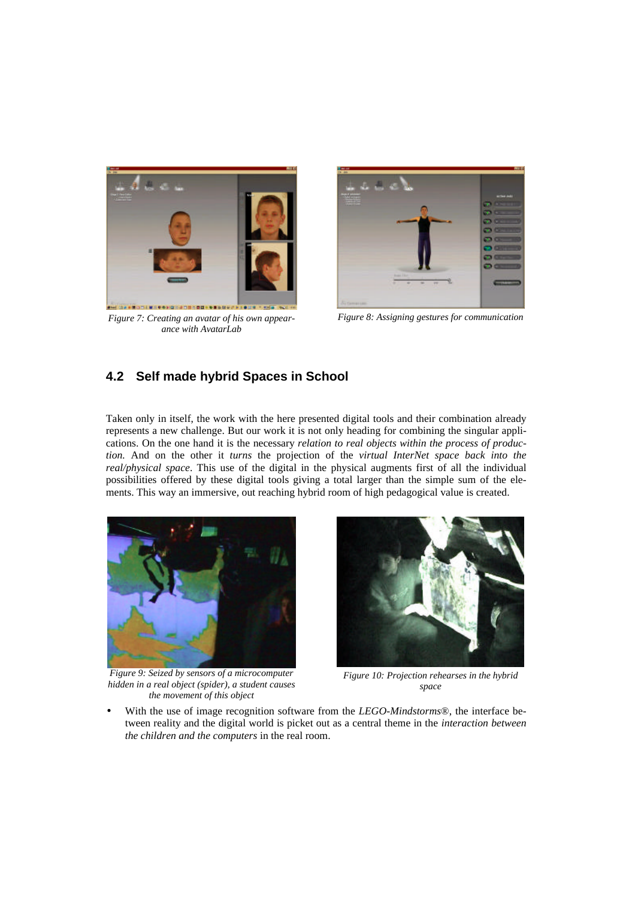

*Figure 7: Creating an avatar of his own appearance with AvatarLab*



*Figure 8: Assigning gestures for communication*

### **4.2 Self made hybrid Spaces in School**

Taken only in itself, the work with the here presented digital tools and their combination already represents a new challenge. But our work it is not only heading for combining the singular applications. On the one hand it is the necessary *relation to real objects within the process of production.* And on the other it *turns* the projection of the *virtual InterNet space back into the real/physical space*. This use of the digital in the physical augments first of all the individual possibilities offered by these digital tools giving a total larger than the simple sum of the elements. This way an immersive, out reaching hybrid room of high pedagogical value is created.



*Figure 9: Seized by sensors of a microcomputer hidden in a real object (spider), a student causes the movement of this object*



*Figure 10: Projection rehearses in the hybrid space*

• With the use of image recognition software from the *LEGO-Mindstorms*®, the interface between reality and the digital world is picket out as a central theme in the *interaction between the children and the computers* in the real room.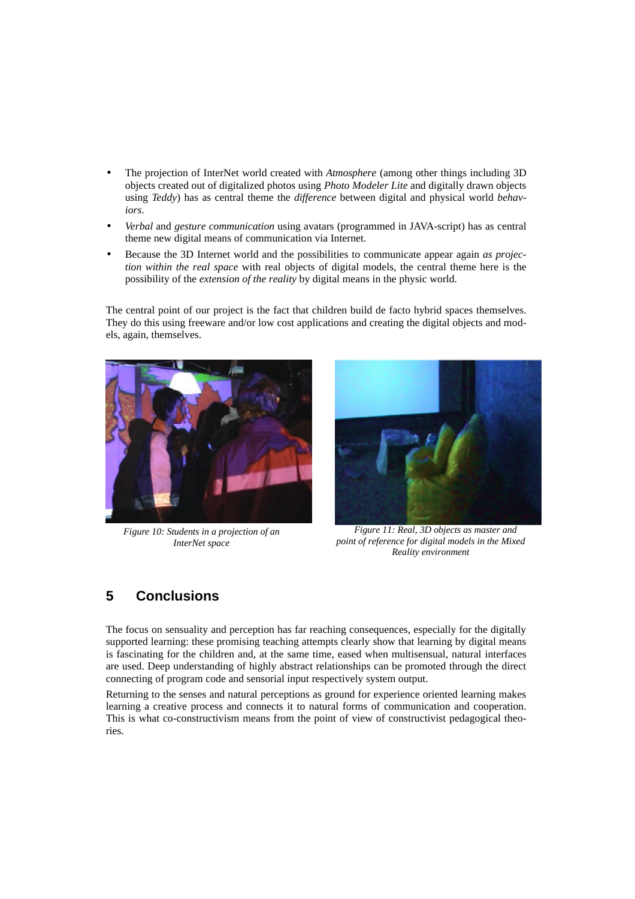- The projection of InterNet world created with *Atmosphere* (among other things including 3D objects created out of digitalized photos using *Photo Modeler Lite* and digitally drawn objects using *Teddy*) has as central theme the *difference* between digital and physical world *behaviors*.
- *Verbal* and *gesture communication* using avatars (programmed in JAVA-script) has as central theme new digital means of communication via Internet.
- Because the 3D Internet world and the possibilities to communicate appear again *as projection within the real space* with real objects of digital models, the central theme here is the possibility of the *extension of the reality* by digital means in the physic world.

The central point of our project is the fact that children build de facto hybrid spaces themselves. They do this using freeware and/or low cost applications and creating the digital objects and models, again, themselves.



*Figure 10: Students in a projection of an InterNet space* 



 *Figure 11: Real, 3D objects as master and point of reference for digital models in the Mixed Reality environment*

# **5 Conclusions**

The focus on sensuality and perception has far reaching consequences, especially for the digitally supported learning: these promising teaching attempts clearly show that learning by digital means is fascinating for the children and, at the same time, eased when multisensual, natural interfaces are used. Deep understanding of highly abstract relationships can be promoted through the direct connecting of program code and sensorial input respectively system output.

Returning to the senses and natural perceptions as ground for experience oriented learning makes learning a creative process and connects it to natural forms of communication and cooperation. This is what co-constructivism means from the point of view of constructivist pedagogical theories.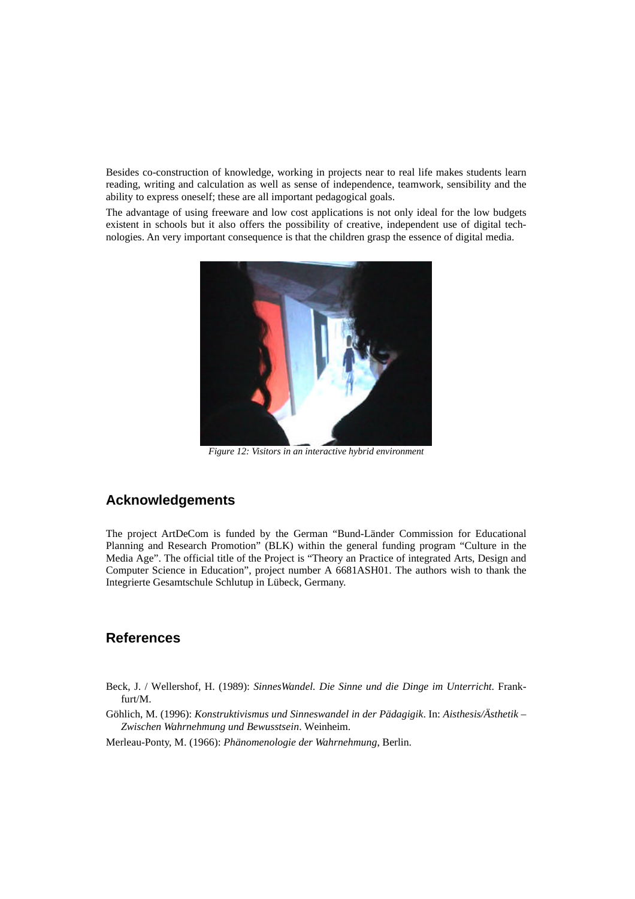Besides co-construction of knowledge, working in projects near to real life makes students learn reading, writing and calculation as well as sense of independence, teamwork, sensibility and the ability to express oneself; these are all important pedagogical goals.

The advantage of using freeware and low cost applications is not only ideal for the low budgets existent in schools but it also offers the possibility of creative, independent use of digital technologies. An very important consequence is that the children grasp the essence of digital media.



*Figure 12: Visitors in an interactive hybrid environment*

#### **Acknowledgements**

The project ArtDeCom is funded by the German "Bund-Länder Commission for Educational Planning and Research Promotion" (BLK) within the general funding program "Culture in the Media Age". The official title of the Project is "Theory an Practice of integrated Arts, Design and Computer Science in Education", project number A 6681ASH01. The authors wish to thank the Integrierte Gesamtschule Schlutup in Lübeck, Germany.

#### **References**

- Beck, J. / Wellershof, H. (1989): *SinnesWandel. Die Sinne und die Dinge im Unterricht*. Frankfurt/M.
- Göhlich, M. (1996): *Konstruktivismus und Sinneswandel in der Pädagigik*. In: *Aisthesis/Ästhetik – Zwischen Wahrnehmung und Bewusstsein*. Weinheim.

Merleau-Ponty, M. (1966): *Phänomenologie der Wahrnehmung*, Berlin.